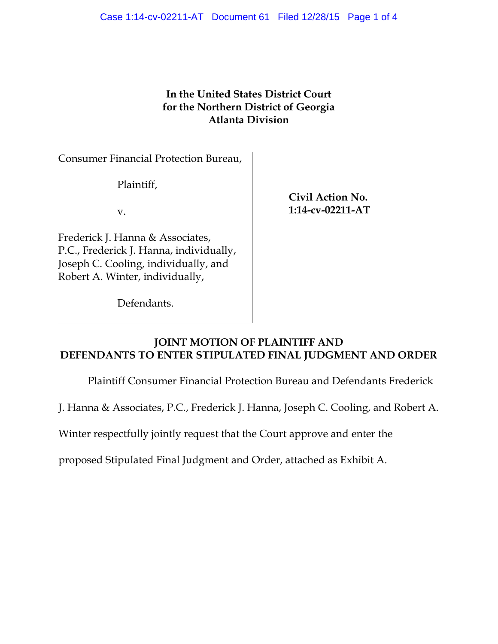# **In the United States District Court for the Northern District of Georgia Atlanta Division**

Consumer Financial Protection Bureau,

Plaintiff,

v.

Frederick J. Hanna & Associates, P.C., Frederick J. Hanna, individually, Joseph C. Cooling, individually, and Robert A. Winter, individually,

Defendants.

**Civil Action No. 1:14-cv-02211-AT** 

## **JOINT MOTION OF PLAINTIFF AND DEFENDANTS TO ENTER STIPULATED FINAL JUDGMENT AND ORDER**

Plaintiff Consumer Financial Protection Bureau and Defendants Frederick

J. Hanna & Associates, P.C., Frederick J. Hanna, Joseph C. Cooling, and Robert A.

Winter respectfully jointly request that the Court approve and enter the

proposed Stipulated Final Judgment and Order, attached as Exhibit A.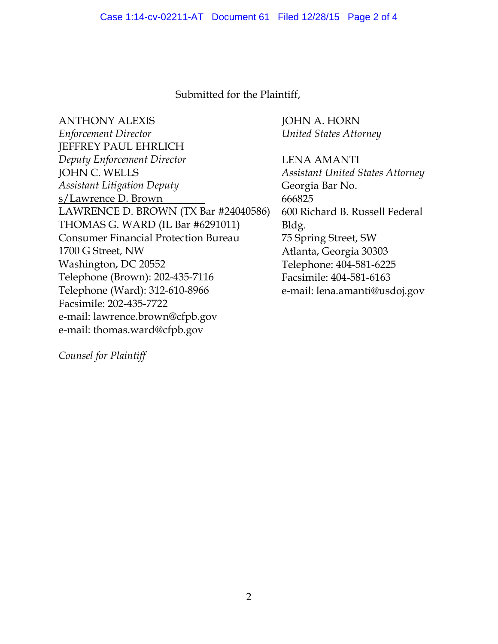### Submitted for the Plaintiff,

ANTHONY ALEXIS *Enforcement Director* JEFFREY PAUL EHRLICH *Deputy Enforcement Director* JOHN C. WELLS *Assistant Litigation Deputy* s/Lawrence D. Brown LAWRENCE D. BROWN (TX Bar #24040586) THOMAS G. WARD (IL Bar #6291011) Consumer Financial Protection Bureau 1700 G Street, NW Washington, DC 20552 Telephone (Brown): 202-435-7116 Telephone (Ward): 312-610-8966 Facsimile: 202-435-7722 e-mail: lawrence.brown@cfpb.gov e-mail: thomas.ward@cfpb.gov

JOHN A. HORN *United States Attorney*

LENA AMANTI *Assistant United States Attorney* Georgia Bar No. 666825 600 Richard B. Russell Federal Bldg. 75 Spring Street, SW Atlanta, Georgia 30303 Telephone: 404-581-6225 Facsimile: 404-581-6163 e-mail: lena.amanti@usdoj.gov

*Counsel for Plaintiff*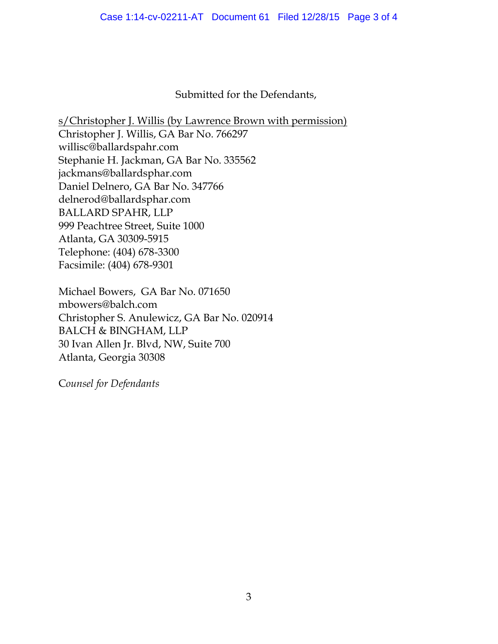Submitted for the Defendants,

s/Christopher J. Willis (by Lawrence Brown with permission) Christopher J. Willis, GA Bar No. 766297 willisc@ballardspahr.com Stephanie H. Jackman, GA Bar No. 335562 jackmans@ballardsphar.com Daniel Delnero, GA Bar No. 347766 delnerod@ballardsphar.com BALLARD SPAHR, LLP 999 Peachtree Street, Suite 1000 Atlanta, GA 30309-5915 Telephone: (404) 678-3300 Facsimile: (404) 678-9301

Michael Bowers, GA Bar No. 071650 mbowers@balch.com Christopher S. Anulewicz, GA Bar No. 020914 BALCH & BINGHAM, LLP 30 Ivan Allen Jr. Blvd, NW, Suite 700 Atlanta, Georgia 30308

C*ounsel for Defendants*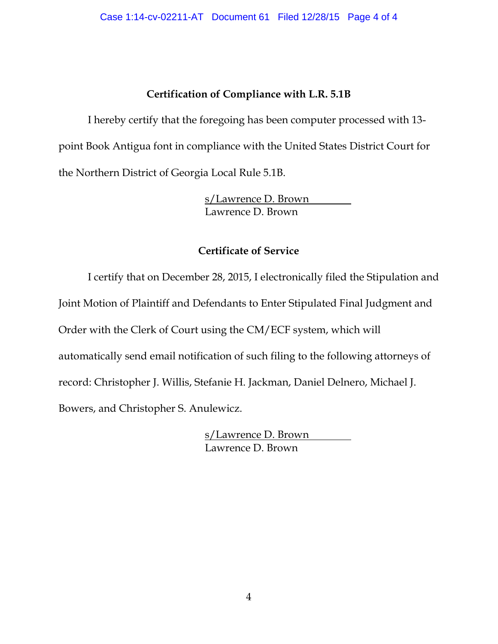# **Certification of Compliance with L.R. 5.1B**

I hereby certify that the foregoing has been computer processed with 13 point Book Antigua font in compliance with the United States District Court for the Northern District of Georgia Local Rule 5.1B.

> s/Lawrence D. Brown Lawrence D. Brown

# **Certificate of Service**

I certify that on December 28, 2015, I electronically filed the Stipulation and Joint Motion of Plaintiff and Defendants to Enter Stipulated Final Judgment and Order with the Clerk of Court using the CM/ECF system, which will automatically send email notification of such filing to the following attorneys of record: Christopher J. Willis, Stefanie H. Jackman, Daniel Delnero, Michael J. Bowers, and Christopher S. Anulewicz.

> s/Lawrence D. Brown Lawrence D. Brown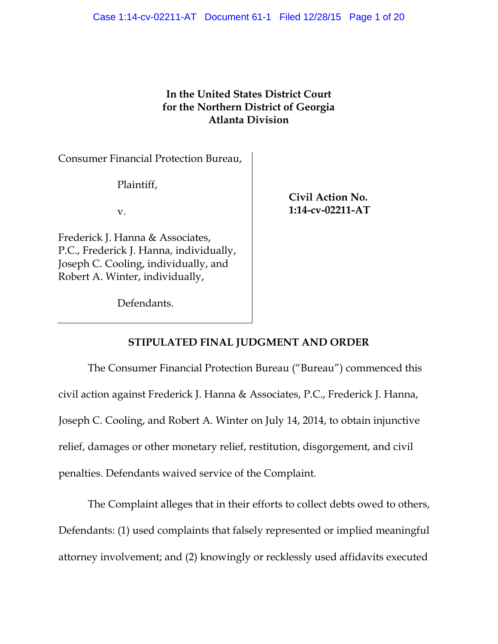# **In the United States District Court for the Northern District of Georgia Atlanta Division**

Consumer Financial Protection Bureau,

Plaintiff,

v.

Frederick J. Hanna & Associates, P.C., Frederick J. Hanna, individually, Joseph C. Cooling, individually, and Robert A. Winter, individually,

Defendants.

**Civil Action No. 1:14-cv-02211-AT** 

# **STIPULATED FINAL JUDGMENT AND ORDER**

The Consumer Financial Protection Bureau ("Bureau") commenced this civil action against Frederick J. Hanna & Associates, P.C., Frederick J. Hanna, Joseph C. Cooling, and Robert A. Winter on July 14, 2014, to obtain injunctive relief, damages or other monetary relief, restitution, disgorgement, and civil penalties. Defendants waived service of the Complaint.

The Complaint alleges that in their efforts to collect debts owed to others, Defendants: (1) used complaints that falsely represented or implied meaningful attorney involvement; and (2) knowingly or recklessly used affidavits executed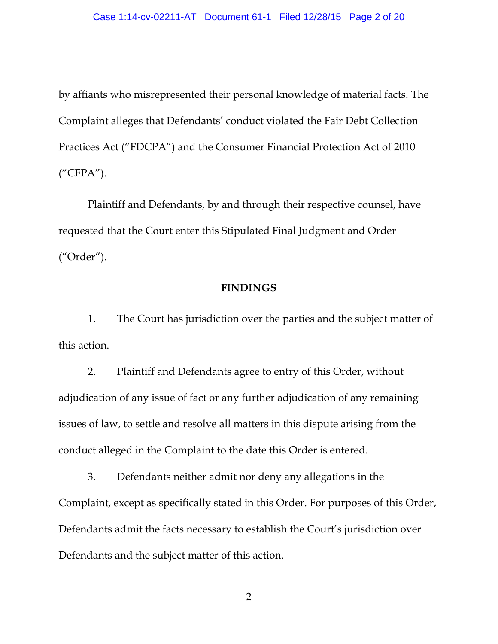by affiants who misrepresented their personal knowledge of material facts. The Complaint alleges that Defendants' conduct violated the Fair Debt Collection Practices Act ("FDCPA") and the Consumer Financial Protection Act of 2010 ("CFPA").

Plaintiff and Defendants, by and through their respective counsel, have requested that the Court enter this Stipulated Final Judgment and Order ("Order").

#### **FINDINGS**

1. The Court has jurisdiction over the parties and the subject matter of this action.

2. Plaintiff and Defendants agree to entry of this Order, without adjudication of any issue of fact or any further adjudication of any remaining issues of law, to settle and resolve all matters in this dispute arising from the conduct alleged in the Complaint to the date this Order is entered.

3. Defendants neither admit nor deny any allegations in the Complaint, except as specifically stated in this Order. For purposes of this Order, Defendants admit the facts necessary to establish the Court's jurisdiction over Defendants and the subject matter of this action.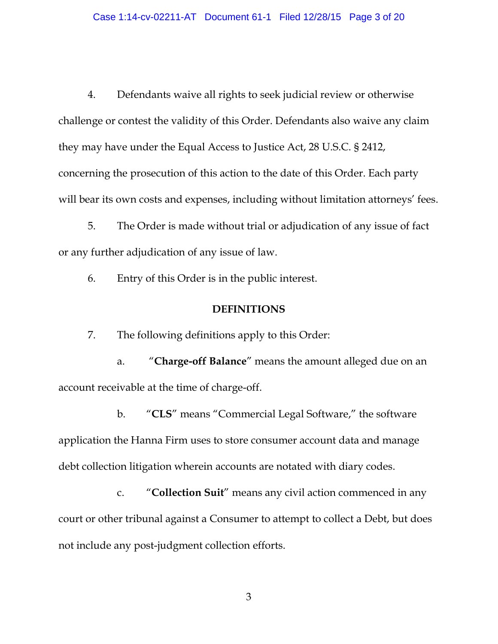4. Defendants waive all rights to seek judicial review or otherwise challenge or contest the validity of this Order. Defendants also waive any claim they may have under the Equal Access to Justice Act, 28 U.S.C. § 2412, concerning the prosecution of this action to the date of this Order. Each party will bear its own costs and expenses, including without limitation attorneys' fees.

5. The Order is made without trial or adjudication of any issue of fact or any further adjudication of any issue of law.

6. Entry of this Order is in the public interest.

#### **DEFINITIONS**

7. The following definitions apply to this Order:

a. "**Charge-off Balance**" means the amount alleged due on an account receivable at the time of charge-off.

b. "**CLS**" means "Commercial Legal Software," the software application the Hanna Firm uses to store consumer account data and manage debt collection litigation wherein accounts are notated with diary codes.

c. "**Collection Suit**" means any civil action commenced in any court or other tribunal against a Consumer to attempt to collect a Debt, but does not include any post-judgment collection efforts.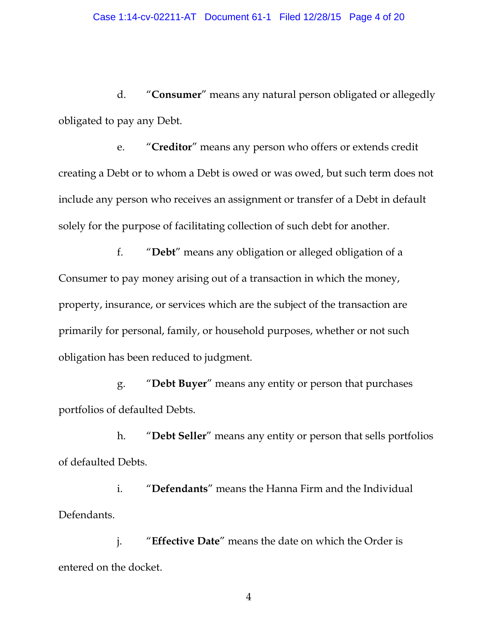d. "**Consumer**" means any natural person obligated or allegedly obligated to pay any Debt.

e. "**Creditor**" means any person who offers or extends credit creating a Debt or to whom a Debt is owed or was owed, but such term does not include any person who receives an assignment or transfer of a Debt in default solely for the purpose of facilitating collection of such debt for another.

f. "**Debt**" means any obligation or alleged obligation of a Consumer to pay money arising out of a transaction in which the money, property, insurance, or services which are the subject of the transaction are primarily for personal, family, or household purposes, whether or not such obligation has been reduced to judgment.

g. "**Debt Buyer**" means any entity or person that purchases portfolios of defaulted Debts.

h. "**Debt Seller**" means any entity or person that sells portfolios of defaulted Debts.

i. "**Defendants**" means the Hanna Firm and the Individual Defendants.

j. "**Effective Date**" means the date on which the Order is entered on the docket.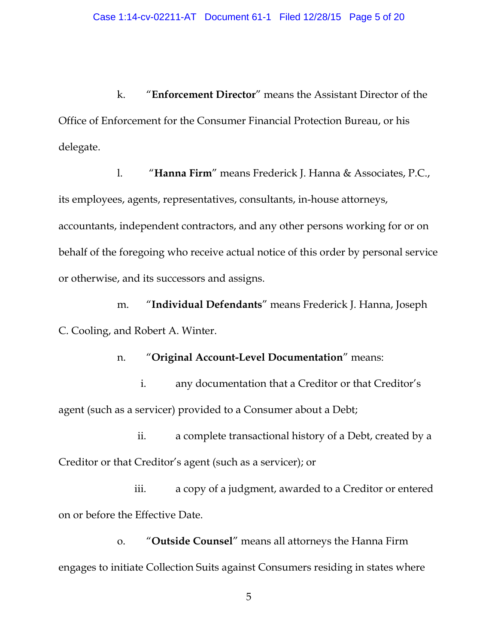k. "**Enforcement Director**" means the Assistant Director of the Office of Enforcement for the Consumer Financial Protection Bureau, or his delegate.

l. "**Hanna Firm**" means Frederick J. Hanna & Associates, P.C., its employees, agents, representatives, consultants, in-house attorneys, accountants, independent contractors, and any other persons working for or on behalf of the foregoing who receive actual notice of this order by personal service or otherwise, and its successors and assigns.

m. "**Individual Defendants**" means Frederick J. Hanna, Joseph C. Cooling, and Robert A. Winter.

n. "**Original Account-Level Documentation**" means:

i. any documentation that a Creditor or that Creditor's agent (such as a servicer) provided to a Consumer about a Debt;

ii. a complete transactional history of a Debt, created by a Creditor or that Creditor's agent (such as a servicer); or

iii. a copy of a judgment, awarded to a Creditor or entered on or before the Effective Date.

o. "**Outside Counsel**" means all attorneys the Hanna Firm engages to initiate Collection Suits against Consumers residing in states where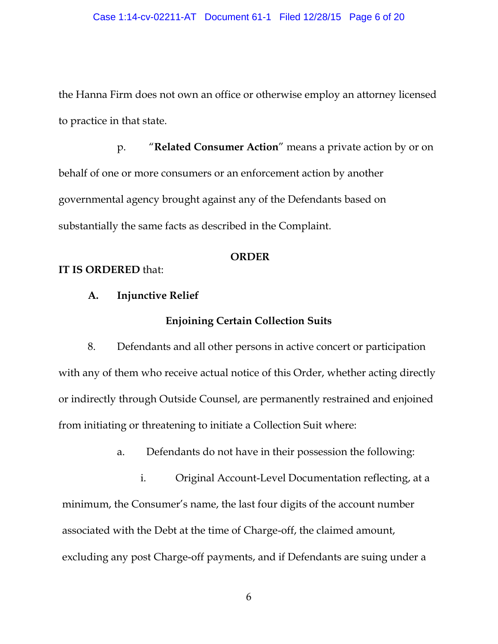the Hanna Firm does not own an office or otherwise employ an attorney licensed to practice in that state.

p. "**Related Consumer Action**" means a private action by or on behalf of one or more consumers or an enforcement action by another governmental agency brought against any of the Defendants based on substantially the same facts as described in the Complaint.

#### **ORDER**

#### **IT IS ORDERED** that:

#### **A. Injunctive Relief**

### **Enjoining Certain Collection Suits**

8. Defendants and all other persons in active concert or participation with any of them who receive actual notice of this Order, whether acting directly or indirectly through Outside Counsel, are permanently restrained and enjoined from initiating or threatening to initiate a Collection Suit where:

a. Defendants do not have in their possession the following:

i. Original Account-Level Documentation reflecting, at a minimum, the Consumer's name, the last four digits of the account number associated with the Debt at the time of Charge-off, the claimed amount, excluding any post Charge-off payments, and if Defendants are suing under a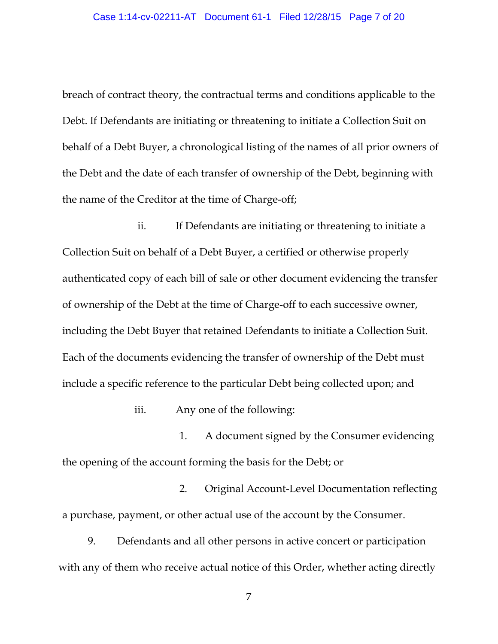breach of contract theory, the contractual terms and conditions applicable to the Debt. If Defendants are initiating or threatening to initiate a Collection Suit on behalf of a Debt Buyer, a chronological listing of the names of all prior owners of the Debt and the date of each transfer of ownership of the Debt, beginning with the name of the Creditor at the time of Charge-off;

ii. If Defendants are initiating or threatening to initiate a Collection Suit on behalf of a Debt Buyer, a certified or otherwise properly authenticated copy of each bill of sale or other document evidencing the transfer of ownership of the Debt at the time of Charge-off to each successive owner, including the Debt Buyer that retained Defendants to initiate a Collection Suit. Each of the documents evidencing the transfer of ownership of the Debt must include a specific reference to the particular Debt being collected upon; and

iii. Any one of the following:

1. A document signed by the Consumer evidencing the opening of the account forming the basis for the Debt; or

2. Original Account-Level Documentation reflecting a purchase, payment, or other actual use of the account by the Consumer.

9. Defendants and all other persons in active concert or participation with any of them who receive actual notice of this Order, whether acting directly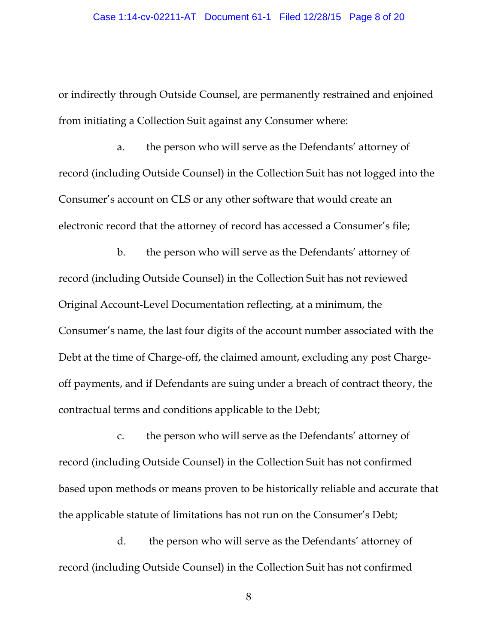or indirectly through Outside Counsel, are permanently restrained and enjoined from initiating a Collection Suit against any Consumer where:

a. the person who will serve as the Defendants' attorney of record (including Outside Counsel) in the Collection Suit has not logged into the Consumer's account on CLS or any other software that would create an electronic record that the attorney of record has accessed a Consumer's file;

b. the person who will serve as the Defendants' attorney of record (including Outside Counsel) in the Collection Suit has not reviewed Original Account-Level Documentation reflecting, at a minimum, the Consumer's name, the last four digits of the account number associated with the Debt at the time of Charge-off, the claimed amount, excluding any post Chargeoff payments, and if Defendants are suing under a breach of contract theory, the contractual terms and conditions applicable to the Debt;

c. the person who will serve as the Defendants' attorney of record (including Outside Counsel) in the Collection Suit has not confirmed based upon methods or means proven to be historically reliable and accurate that the applicable statute of limitations has not run on the Consumer's Debt;

d. the person who will serve as the Defendants' attorney of record (including Outside Counsel) in the Collection Suit has not confirmed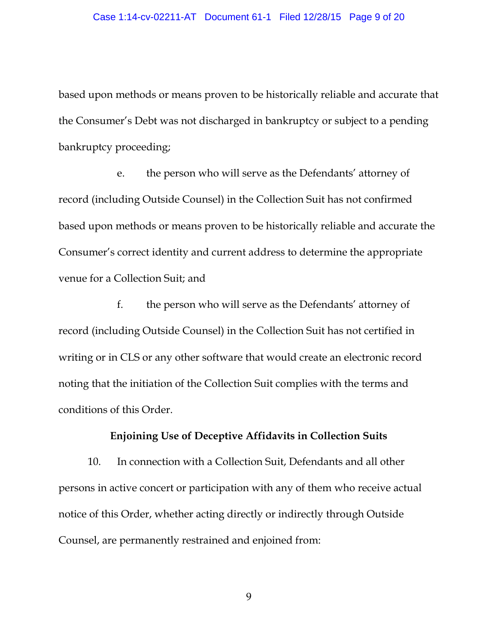based upon methods or means proven to be historically reliable and accurate that the Consumer's Debt was not discharged in bankruptcy or subject to a pending bankruptcy proceeding;

e. the person who will serve as the Defendants' attorney of record (including Outside Counsel) in the Collection Suit has not confirmed based upon methods or means proven to be historically reliable and accurate the Consumer's correct identity and current address to determine the appropriate venue for a Collection Suit; and

f. the person who will serve as the Defendants' attorney of record (including Outside Counsel) in the Collection Suit has not certified in writing or in CLS or any other software that would create an electronic record noting that the initiation of the Collection Suit complies with the terms and conditions of this Order.

#### **Enjoining Use of Deceptive Affidavits in Collection Suits**

10. In connection with a Collection Suit, Defendants and all other persons in active concert or participation with any of them who receive actual notice of this Order, whether acting directly or indirectly through Outside Counsel, are permanently restrained and enjoined from: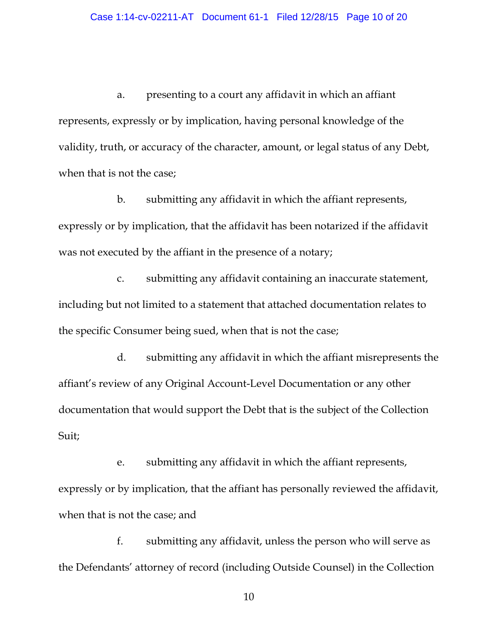a. presenting to a court any affidavit in which an affiant represents, expressly or by implication, having personal knowledge of the validity, truth, or accuracy of the character, amount, or legal status of any Debt, when that is not the case;

b. submitting any affidavit in which the affiant represents, expressly or by implication, that the affidavit has been notarized if the affidavit was not executed by the affiant in the presence of a notary;

c. submitting any affidavit containing an inaccurate statement, including but not limited to a statement that attached documentation relates to the specific Consumer being sued, when that is not the case;

d. submitting any affidavit in which the affiant misrepresents the affiant's review of any Original Account-Level Documentation or any other documentation that would support the Debt that is the subject of the Collection Suit;

e. submitting any affidavit in which the affiant represents, expressly or by implication, that the affiant has personally reviewed the affidavit, when that is not the case; and

f. submitting any affidavit, unless the person who will serve as the Defendants' attorney of record (including Outside Counsel) in the Collection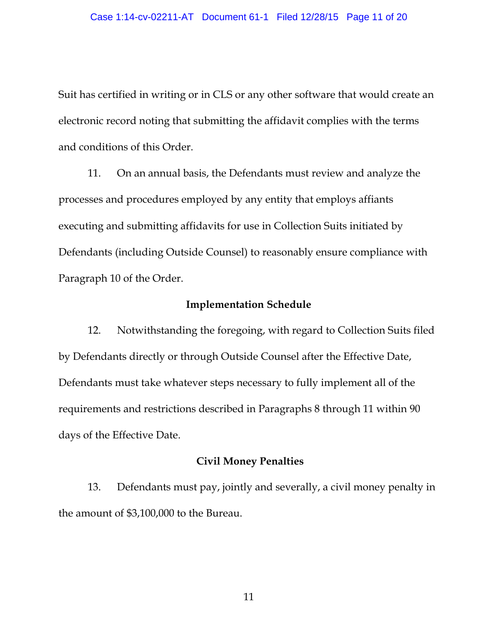Suit has certified in writing or in CLS or any other software that would create an electronic record noting that submitting the affidavit complies with the terms and conditions of this Order.

11. On an annual basis, the Defendants must review and analyze the processes and procedures employed by any entity that employs affiants executing and submitting affidavits for use in Collection Suits initiated by Defendants (including Outside Counsel) to reasonably ensure compliance with Paragraph 10 of the Order.

#### **Implementation Schedule**

12. Notwithstanding the foregoing, with regard to Collection Suits filed by Defendants directly or through Outside Counsel after the Effective Date, Defendants must take whatever steps necessary to fully implement all of the requirements and restrictions described in Paragraphs 8 through 11 within 90 days of the Effective Date.

#### **Civil Money Penalties**

13. Defendants must pay, jointly and severally, a civil money penalty in the amount of \$3,100,000 to the Bureau.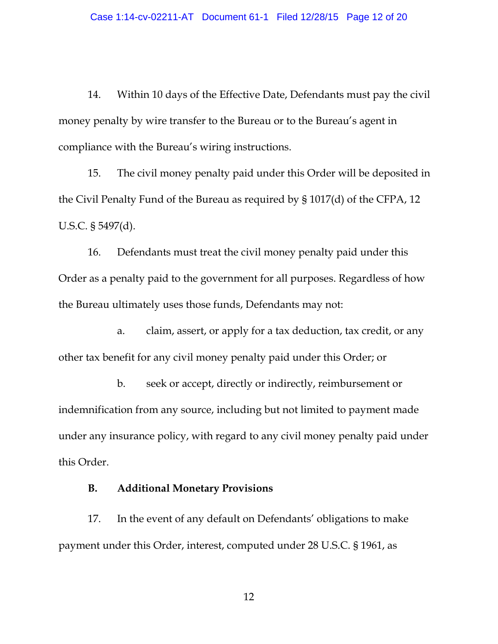14. Within 10 days of the Effective Date, Defendants must pay the civil money penalty by wire transfer to the Bureau or to the Bureau's agent in compliance with the Bureau's wiring instructions.

15. The civil money penalty paid under this Order will be deposited in the Civil Penalty Fund of the Bureau as required by § 1017(d) of the CFPA, 12 U.S.C. § 5497(d).

16. Defendants must treat the civil money penalty paid under this Order as a penalty paid to the government for all purposes. Regardless of how the Bureau ultimately uses those funds, Defendants may not:

a. claim, assert, or apply for a tax deduction, tax credit, or any other tax benefit for any civil money penalty paid under this Order; or

b. seek or accept, directly or indirectly, reimbursement or indemnification from any source, including but not limited to payment made under any insurance policy, with regard to any civil money penalty paid under this Order.

#### **B. Additional Monetary Provisions**

17. In the event of any default on Defendants' obligations to make payment under this Order, interest, computed under 28 U.S.C. § 1961, as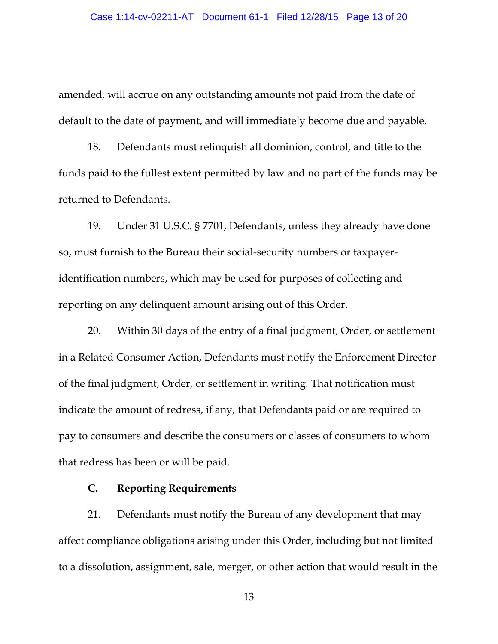amended, will accrue on any outstanding amounts not paid from the date of default to the date of payment, and will immediately become due and payable.

18. Defendants must relinquish all dominion, control, and title to the funds paid to the fullest extent permitted by law and no part of the funds may be returned to Defendants.

19. Under 31 U.S.C. § 7701, Defendants, unless they already have done so, must furnish to the Bureau their social-security numbers or taxpayeridentification numbers, which may be used for purposes of collecting and reporting on any delinquent amount arising out of this Order.

20. Within 30 days of the entry of a final judgment, Order, or settlement in a Related Consumer Action, Defendants must notify the Enforcement Director of the final judgment, Order, or settlement in writing. That notification must indicate the amount of redress, if any, that Defendants paid or are required to pay to consumers and describe the consumers or classes of consumers to whom that redress has been or will be paid.

### **C. Reporting Requirements**

21. Defendants must notify the Bureau of any development that may affect compliance obligations arising under this Order, including but not limited to a dissolution, assignment, sale, merger, or other action that would result in the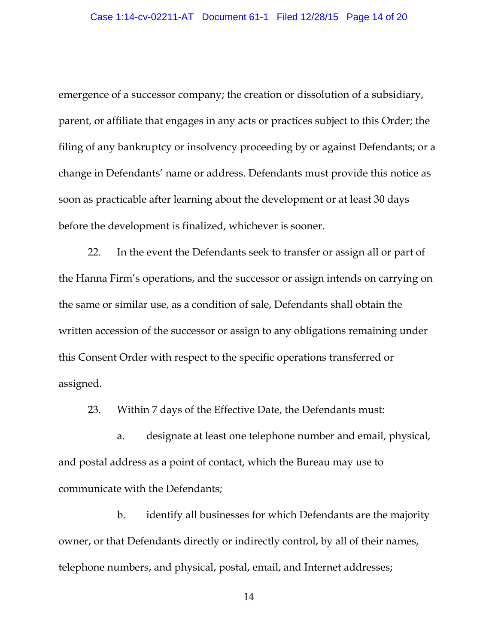emergence of a successor company; the creation or dissolution of a subsidiary, parent, or affiliate that engages in any acts or practices subject to this Order; the filing of any bankruptcy or insolvency proceeding by or against Defendants; or a change in Defendants' name or address. Defendants must provide this notice as soon as practicable after learning about the development or at least 30 days before the development is finalized, whichever is sooner.

22. In the event the Defendants seek to transfer or assign all or part of the Hanna Firm's operations, and the successor or assign intends on carrying on the same or similar use, as a condition of sale, Defendants shall obtain the written accession of the successor or assign to any obligations remaining under this Consent Order with respect to the specific operations transferred or assigned.

23. Within 7 days of the Effective Date, the Defendants must:

a. designate at least one telephone number and email, physical, and postal address as a point of contact, which the Bureau may use to communicate with the Defendants;

b. identify all businesses for which Defendants are the majority owner, or that Defendants directly or indirectly control, by all of their names, telephone numbers, and physical, postal, email, and Internet addresses;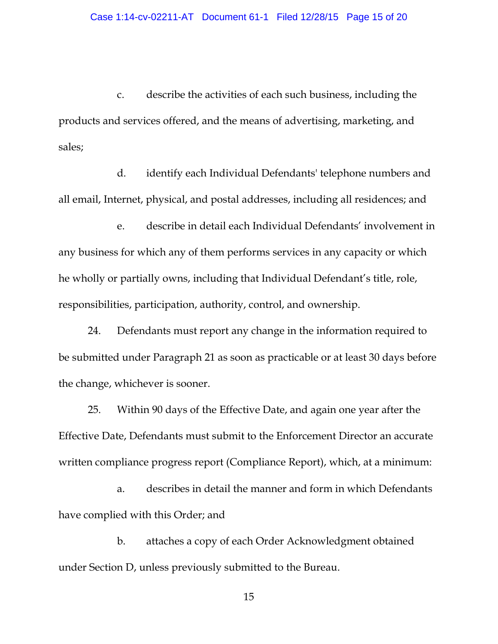c. describe the activities of each such business, including the products and services offered, and the means of advertising, marketing, and sales;

d. identify each Individual Defendants' telephone numbers and all email, Internet, physical, and postal addresses, including all residences; and

e. describe in detail each Individual Defendants' involvement in any business for which any of them performs services in any capacity or which he wholly or partially owns, including that Individual Defendant's title, role, responsibilities, participation, authority, control, and ownership.

24. Defendants must report any change in the information required to be submitted under Paragraph 21 as soon as practicable or at least 30 days before the change, whichever is sooner.

25. Within 90 days of the Effective Date, and again one year after the Effective Date, Defendants must submit to the Enforcement Director an accurate written compliance progress report (Compliance Report), which, at a minimum:

a. describes in detail the manner and form in which Defendants have complied with this Order; and

b. attaches a copy of each Order Acknowledgment obtained under Section D, unless previously submitted to the Bureau.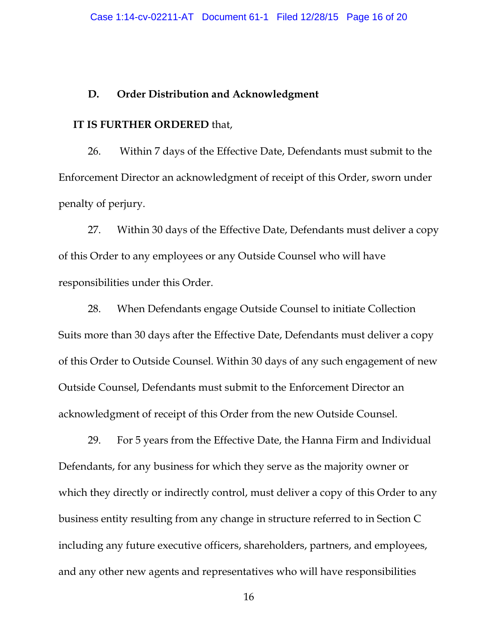#### **D. Order Distribution and Acknowledgment**

#### **IT IS FURTHER ORDERED** that,

26. Within 7 days of the Effective Date, Defendants must submit to the Enforcement Director an acknowledgment of receipt of this Order, sworn under penalty of perjury.

27. Within 30 days of the Effective Date, Defendants must deliver a copy of this Order to any employees or any Outside Counsel who will have responsibilities under this Order.

28. When Defendants engage Outside Counsel to initiate Collection Suits more than 30 days after the Effective Date, Defendants must deliver a copy of this Order to Outside Counsel. Within 30 days of any such engagement of new Outside Counsel, Defendants must submit to the Enforcement Director an acknowledgment of receipt of this Order from the new Outside Counsel.

29. For 5 years from the Effective Date, the Hanna Firm and Individual Defendants, for any business for which they serve as the majority owner or which they directly or indirectly control, must deliver a copy of this Order to any business entity resulting from any change in structure referred to in Section C including any future executive officers, shareholders, partners, and employees, and any other new agents and representatives who will have responsibilities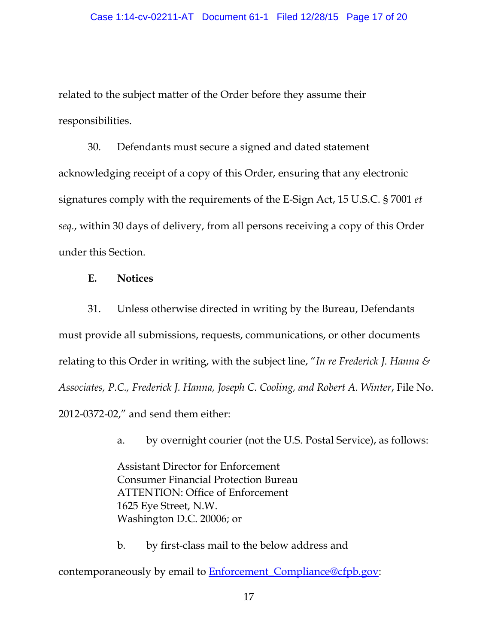related to the subject matter of the Order before they assume their responsibilities.

30. Defendants must secure a signed and dated statement acknowledging receipt of a copy of this Order, ensuring that any electronic signatures comply with the requirements of the E-Sign Act, 15 U.S.C. § 7001 *et seq.*, within 30 days of delivery, from all persons receiving a copy of this Order under this Section.

#### **E. Notices**

31. Unless otherwise directed in writing by the Bureau, Defendants must provide all submissions, requests, communications, or other documents relating to this Order in writing, with the subject line, "*In re Frederick J. Hanna & Associates, P.C., Frederick J. Hanna, Joseph C. Cooling, and Robert A. Winter*, File No. 2012-0372-02," and send them either:

a. by overnight courier (not the U.S. Postal Service), as follows:

Assistant Director for Enforcement Consumer Financial Protection Bureau ATTENTION: Office of Enforcement 1625 Eye Street, N.W. Washington D.C. 20006; or

b. by first-class mail to the below address and

contemporaneously by email to **Enforcement** Compliance@cfpb.gov: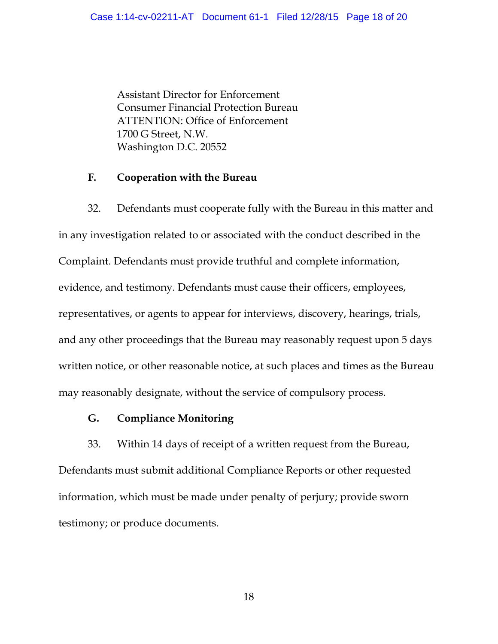Assistant Director for Enforcement Consumer Financial Protection Bureau ATTENTION: Office of Enforcement 1700 G Street, N.W. Washington D.C. 20552

#### **F. Cooperation with the Bureau**

32. Defendants must cooperate fully with the Bureau in this matter and in any investigation related to or associated with the conduct described in the Complaint. Defendants must provide truthful and complete information, evidence, and testimony. Defendants must cause their officers, employees, representatives, or agents to appear for interviews, discovery, hearings, trials, and any other proceedings that the Bureau may reasonably request upon 5 days written notice, or other reasonable notice, at such places and times as the Bureau may reasonably designate, without the service of compulsory process.

### **G. Compliance Monitoring**

33. Within 14 days of receipt of a written request from the Bureau, Defendants must submit additional Compliance Reports or other requested information, which must be made under penalty of perjury; provide sworn testimony; or produce documents.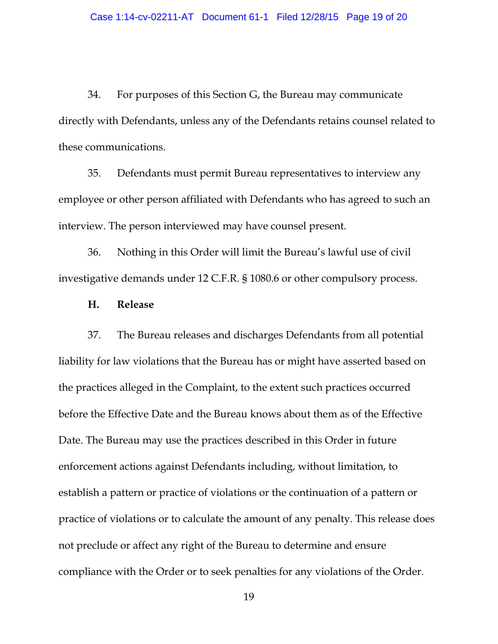34. For purposes of this Section G, the Bureau may communicate directly with Defendants, unless any of the Defendants retains counsel related to these communications.

35. Defendants must permit Bureau representatives to interview any employee or other person affiliated with Defendants who has agreed to such an interview. The person interviewed may have counsel present.

36. Nothing in this Order will limit the Bureau's lawful use of civil investigative demands under 12 C.F.R. § 1080.6 or other compulsory process.

#### **H. Release**

37. The Bureau releases and discharges Defendants from all potential liability for law violations that the Bureau has or might have asserted based on the practices alleged in the Complaint, to the extent such practices occurred before the Effective Date and the Bureau knows about them as of the Effective Date. The Bureau may use the practices described in this Order in future enforcement actions against Defendants including, without limitation, to establish a pattern or practice of violations or the continuation of a pattern or practice of violations or to calculate the amount of any penalty. This release does not preclude or affect any right of the Bureau to determine and ensure compliance with the Order or to seek penalties for any violations of the Order.